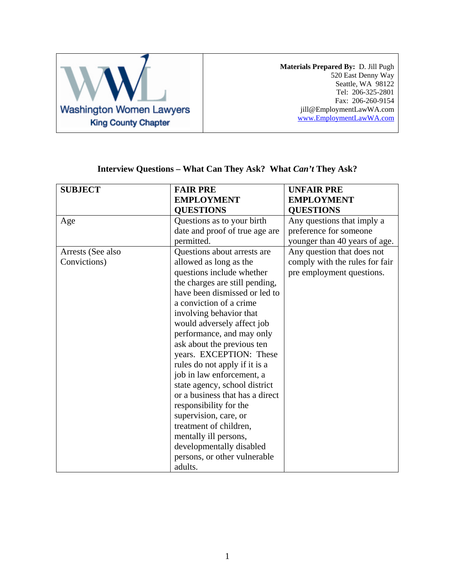

**Materials Prepared By:** D. Jill Pugh 520 East Denny Way Seattle, WA 98122 Tel: 206-325-2801 Fax: 206-260-9154 jill@EmploymentLawWA.com [www.EmploymentLawWA.com](http://www.employmentlawwa.com/)

| <b>SUBJECT</b>    | <b>FAIR PRE</b>                 | <b>UNFAIR PRE</b>              |
|-------------------|---------------------------------|--------------------------------|
|                   | <b>EMPLOYMENT</b>               | <b>EMPLOYMENT</b>              |
|                   | <b>QUESTIONS</b>                | <b>QUESTIONS</b>               |
| Age               | Questions as to your birth      | Any questions that imply a     |
|                   | date and proof of true age are  | preference for someone         |
|                   | permitted.                      | younger than 40 years of age.  |
| Arrests (See also | Questions about arrests are     | Any question that does not     |
| Convictions)      | allowed as long as the          | comply with the rules for fair |
|                   | questions include whether       | pre employment questions.      |
|                   | the charges are still pending,  |                                |
|                   | have been dismissed or led to   |                                |
|                   | a conviction of a crime         |                                |
|                   | involving behavior that         |                                |
|                   | would adversely affect job      |                                |
|                   | performance, and may only       |                                |
|                   | ask about the previous ten      |                                |
|                   | years. EXCEPTION: These         |                                |
|                   | rules do not apply if it is a   |                                |
|                   | job in law enforcement, a       |                                |
|                   | state agency, school district   |                                |
|                   | or a business that has a direct |                                |
|                   | responsibility for the          |                                |
|                   | supervision, care, or           |                                |
|                   | treatment of children,          |                                |
|                   | mentally ill persons,           |                                |
|                   | developmentally disabled        |                                |
|                   | persons, or other vulnerable    |                                |
|                   | adults.                         |                                |

## **Interview Questions – What Can They Ask? What** *Can't* **They Ask?**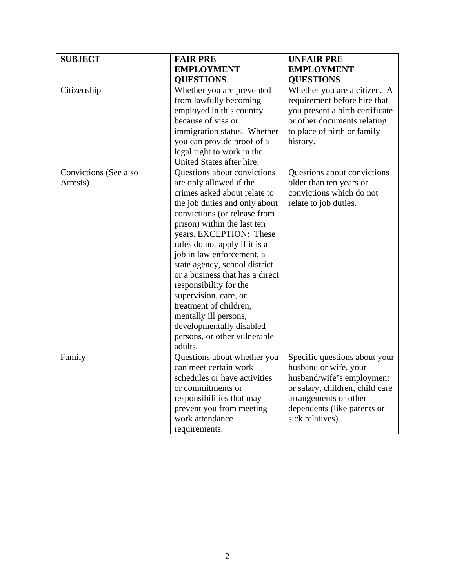| <b>SUBJECT</b>                    | <b>FAIR PRE</b>                                                                                                                                                                                                                                                                                                                                                                                                                                                                                                                  | <b>UNFAIR PRE</b>                                                                                                                                                                                  |
|-----------------------------------|----------------------------------------------------------------------------------------------------------------------------------------------------------------------------------------------------------------------------------------------------------------------------------------------------------------------------------------------------------------------------------------------------------------------------------------------------------------------------------------------------------------------------------|----------------------------------------------------------------------------------------------------------------------------------------------------------------------------------------------------|
|                                   | <b>EMPLOYMENT</b>                                                                                                                                                                                                                                                                                                                                                                                                                                                                                                                | <b>EMPLOYMENT</b>                                                                                                                                                                                  |
|                                   | <b>QUESTIONS</b>                                                                                                                                                                                                                                                                                                                                                                                                                                                                                                                 | <b>QUESTIONS</b>                                                                                                                                                                                   |
| Citizenship                       | Whether you are prevented<br>from lawfully becoming<br>employed in this country<br>because of visa or<br>immigration status. Whether<br>you can provide proof of a<br>legal right to work in the<br>United States after hire.                                                                                                                                                                                                                                                                                                    | Whether you are a citizen. A<br>requirement before hire that<br>you present a birth certificate<br>or other documents relating<br>to place of birth or family<br>history.                          |
| Convictions (See also<br>Arrests) | Questions about convictions<br>are only allowed if the<br>crimes asked about relate to<br>the job duties and only about<br>convictions (or release from<br>prison) within the last ten<br>years. EXCEPTION: These<br>rules do not apply if it is a<br>job in law enforcement, a<br>state agency, school district<br>or a business that has a direct<br>responsibility for the<br>supervision, care, or<br>treatment of children,<br>mentally ill persons,<br>developmentally disabled<br>persons, or other vulnerable<br>adults. | Questions about convictions<br>older than ten years or<br>convictions which do not<br>relate to job duties.                                                                                        |
| Family                            | Questions about whether you<br>can meet certain work<br>schedules or have activities<br>or commitments or<br>responsibilities that may<br>prevent you from meeting<br>work attendance<br>requirements.                                                                                                                                                                                                                                                                                                                           | Specific questions about your<br>husband or wife, your<br>husband/wife's employment<br>or salary, children, child care<br>arrangements or other<br>dependents (like parents or<br>sick relatives). |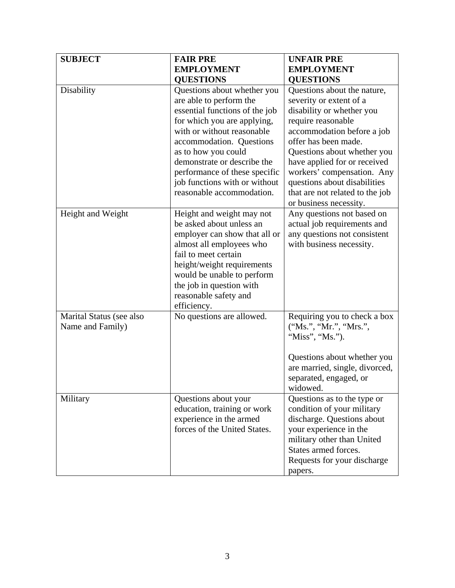| <b>SUBJECT</b>                               | <b>FAIR PRE</b>                                                                                                                                                                                                                                                                                                                        | <b>UNFAIR PRE</b>                                                                                                                                                                                                                                                                                                                                         |
|----------------------------------------------|----------------------------------------------------------------------------------------------------------------------------------------------------------------------------------------------------------------------------------------------------------------------------------------------------------------------------------------|-----------------------------------------------------------------------------------------------------------------------------------------------------------------------------------------------------------------------------------------------------------------------------------------------------------------------------------------------------------|
|                                              | <b>EMPLOYMENT</b>                                                                                                                                                                                                                                                                                                                      | <b>EMPLOYMENT</b>                                                                                                                                                                                                                                                                                                                                         |
|                                              | <b>QUESTIONS</b>                                                                                                                                                                                                                                                                                                                       | <b>QUESTIONS</b>                                                                                                                                                                                                                                                                                                                                          |
| Disability                                   | Questions about whether you<br>are able to perform the<br>essential functions of the job<br>for which you are applying,<br>with or without reasonable<br>accommodation. Questions<br>as to how you could<br>demonstrate or describe the<br>performance of these specific<br>job functions with or without<br>reasonable accommodation. | Questions about the nature,<br>severity or extent of a<br>disability or whether you<br>require reasonable<br>accommodation before a job<br>offer has been made.<br>Questions about whether you<br>have applied for or received<br>workers' compensation. Any<br>questions about disabilities<br>that are not related to the job<br>or business necessity. |
| Height and Weight                            | Height and weight may not<br>be asked about unless an<br>employer can show that all or<br>almost all employees who<br>fail to meet certain<br>height/weight requirements<br>would be unable to perform<br>the job in question with<br>reasonable safety and<br>efficiency.                                                             | Any questions not based on<br>actual job requirements and<br>any questions not consistent<br>with business necessity.                                                                                                                                                                                                                                     |
| Marital Status (see also<br>Name and Family) | No questions are allowed.                                                                                                                                                                                                                                                                                                              | Requiring you to check a box<br>("Ms.", "Mr.", "Mrs.",<br>"Miss", "Ms.").<br>Questions about whether you<br>are married, single, divorced,<br>separated, engaged, or<br>widowed.                                                                                                                                                                          |
| Military                                     | Questions about your<br>education, training or work<br>experience in the armed<br>forces of the United States.                                                                                                                                                                                                                         | Questions as to the type or<br>condition of your military<br>discharge. Questions about<br>your experience in the<br>military other than United<br>States armed forces.<br>Requests for your discharge<br>papers.                                                                                                                                         |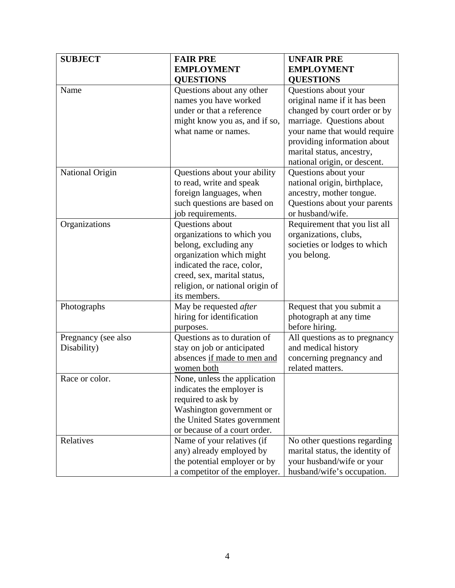| <b>SUBJECT</b>      | <b>FAIR PRE</b>                 | <b>UNFAIR PRE</b>               |
|---------------------|---------------------------------|---------------------------------|
|                     | <b>EMPLOYMENT</b>               | <b>EMPLOYMENT</b>               |
|                     | <b>QUESTIONS</b>                | <b>QUESTIONS</b>                |
| Name                | Questions about any other       | Questions about your            |
|                     | names you have worked           | original name if it has been    |
|                     | under or that a reference       | changed by court order or by    |
|                     | might know you as, and if so,   | marriage. Questions about       |
|                     | what name or names.             | your name that would require    |
|                     |                                 | providing information about     |
|                     |                                 | marital status, ancestry,       |
|                     |                                 | national origin, or descent.    |
| National Origin     | Questions about your ability    | Questions about your            |
|                     | to read, write and speak        | national origin, birthplace,    |
|                     | foreign languages, when         | ancestry, mother tongue.        |
|                     | such questions are based on     | Questions about your parents    |
|                     | job requirements.               | or husband/wife.                |
| Organizations       | Questions about                 | Requirement that you list all   |
|                     | organizations to which you      | organizations, clubs,           |
|                     | belong, excluding any           | societies or lodges to which    |
|                     | organization which might        | you belong.                     |
|                     | indicated the race, color,      |                                 |
|                     | creed, sex, marital status,     |                                 |
|                     | religion, or national origin of |                                 |
|                     | its members.                    |                                 |
| Photographs         | May be requested after          | Request that you submit a       |
|                     | hiring for identification       | photograph at any time          |
|                     | purposes.                       | before hiring.                  |
| Pregnancy (see also | Questions as to duration of     | All questions as to pregnancy   |
| Disability)         | stay on job or anticipated      | and medical history             |
|                     | absences if made to men and     | concerning pregnancy and        |
|                     | women both                      | related matters.                |
| Race or color.      | None, unless the application    |                                 |
|                     | indicates the employer is       |                                 |
|                     | required to ask by              |                                 |
|                     | Washington government or        |                                 |
|                     | the United States government    |                                 |
|                     | or because of a court order.    |                                 |
| Relatives           | Name of your relatives (if      | No other questions regarding    |
|                     | any) already employed by        | marital status, the identity of |
|                     | the potential employer or by    | your husband/wife or your       |
|                     | a competitor of the employer.   | husband/wife's occupation.      |